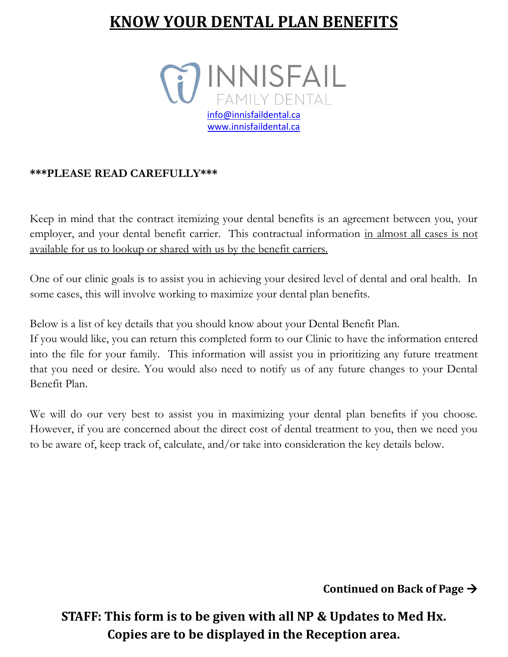## **KNOW YOUR DENTAL PLAN BENEFITS**



## **\*\*\*PLEASE READ CAREFULLY\*\*\***

Keep in mind that the contract itemizing your dental benefits is an agreement between you, your employer, and your dental benefit carrier. This contractual information in almost all cases is not available for us to lookup or shared with us by the benefit carriers.

One of our clinic goals is to assist you in achieving your desired level of dental and oral health. In some cases, this will involve working to maximize your dental plan benefits.

Below is a list of key details that you should know about your Dental Benefit Plan.

If you would like, you can return this completed form to our Clinic to have the information entered into the file for your family. This information will assist you in prioritizing any future treatment that you need or desire. You would also need to notify us of any future changes to your Dental Benefit Plan.

We will do our very best to assist you in maximizing your dental plan benefits if you choose. However, if you are concerned about the direct cost of dental treatment to you, then we need you to be aware of, keep track of, calculate, and/or take into consideration the key details below.

**Continued on Back of Page** 

**STAFF: This form is to be given with all NP & Updates to Med Hx. Copies are to be displayed in the Reception area.**